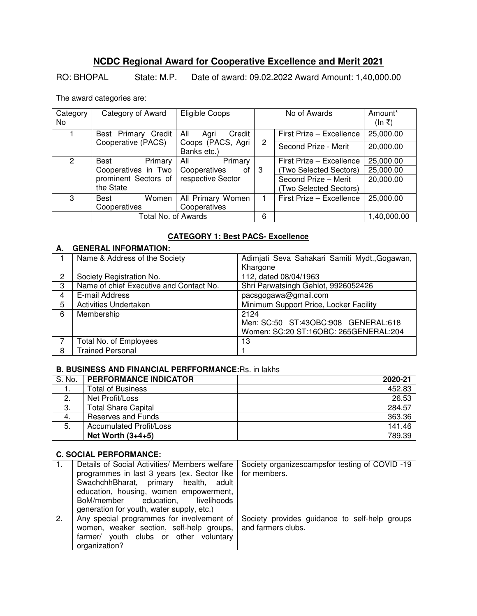# **NCDC Regional Award for Cooperative Excellence and Merit 2021**

RO: BHOPAL State: M.P. Date of award: 09.02.2022 Award Amount: 1,40,000.00

The award categories are:

| Category<br>No. | Category of Award    | Eligible Coops                   |                       | No of Awards             | Amount*<br>(ln ₹) |
|-----------------|----------------------|----------------------------------|-----------------------|--------------------------|-------------------|
|                 | Best Primary Credit  | All<br>Credit<br>Agri            |                       | First Prize - Excellence | 25,000.00         |
|                 | Cooperative (PACS)   | Coops (PACS, Agri<br>Banks etc.) | $\mathbf{2}^{\prime}$ | Second Prize - Merit     | 20,000.00         |
| $\mathcal{P}$   | Primary<br>Best      | Primary<br>All                   |                       | First Prize - Excellence | 25,000.00         |
|                 | Cooperatives in Two  | Cooperatives<br>0t               | -3                    | (Two Selected Sectors)   | 25,000.00         |
|                 | prominent Sectors of | respective Sector                |                       | Second Prize - Merit     | 20,000.00         |
|                 | the State            |                                  |                       | (Two Selected Sectors)   |                   |
| 3               | Women<br><b>Best</b> | All Primary Women                |                       | First Prize - Excellence | 25,000.00         |
|                 | Cooperatives         | Cooperatives                     |                       |                          |                   |
|                 | Total No. of Awards  |                                  | 6                     |                          | 1,40,000.00       |

# **CATEGORY 1: Best PACS- Excellence**

# **A. GENERAL INFORMATION:**

|   | Name & Address of the Society           | Adimjati Seva Sahakari Samiti Mydt., Gogawan, |
|---|-----------------------------------------|-----------------------------------------------|
|   |                                         | Khargone                                      |
| 2 | Society Registration No.                | 112, dated 08/04/1963                         |
| 3 | Name of chief Executive and Contact No. | Shri Parwatsingh Gehlot, 9926052426           |
| 4 | E-mail Address                          | pacsgogawa@gmail.com                          |
| 5 | Activities Undertaken                   | Minimum Support Price, Locker Facility        |
| 6 | Membership                              | 2124                                          |
|   |                                         | Men: SC:50 ST:43OBC:908 GENERAL:618           |
|   |                                         | Women: SC:20 ST:16OBC: 265GENERAL:204         |
|   | Total No. of Employees                  | 13                                            |
| 8 | <b>Trained Personal</b>                 |                                               |

# **B. BUSINESS AND FINANCIAL PERFFORMANCE:**Rs. in lakhs

| S. No.       | <b>PERFORMANCE INDICATOR</b>   | 2020-21 |
|--------------|--------------------------------|---------|
|              | <b>Total of Business</b>       | 452.83  |
| $\mathbf{2}$ | Net Profit/Loss                | 26.53   |
| 3.           | <b>Total Share Capital</b>     | 284.57  |
| -4.          | Reserves and Funds             | 363.36  |
| 5.           | <b>Accumulated Profit/Loss</b> | 141.46  |
|              | Net Worth $(3+4+5)$            | 789.39  |

|    | Details of Social Activities/ Members welfare | Society organizescampsfor testing of COVID-19 |
|----|-----------------------------------------------|-----------------------------------------------|
|    | programmes in last 3 years (ex. Sector like   | for members.                                  |
|    | SwachchhBharat, primary health, adult         |                                               |
|    | education, housing, women empowerment,        |                                               |
|    | BoM/member education, livelihoods             |                                               |
|    | generation for youth, water supply, etc.)     |                                               |
| 2. | Any special programmes for involvement of     | Society provides guidance to self-help groups |
|    | women, weaker section, self-help groups,      | and farmers clubs.                            |
|    | farmer/ youth clubs or other voluntary        |                                               |
|    | organization?                                 |                                               |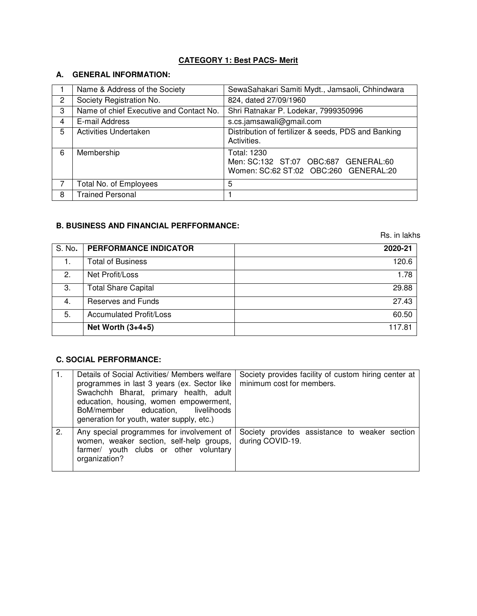# **CATEGORY 1: Best PACS- Merit**

### **A. GENERAL INFORMATION:**

|   | Name & Address of the Society           | SewaSahakari Samiti Mydt., Jamsaoli, Chhindwara                                              |
|---|-----------------------------------------|----------------------------------------------------------------------------------------------|
| 2 | Society Registration No.                | 824, dated 27/09/1960                                                                        |
| 3 | Name of chief Executive and Contact No. | Shri Ratnakar P. Lodekar, 7999350996                                                         |
| 4 | E-mail Address                          | s.cs.jamsawali@gmail.com                                                                     |
| 5 | Activities Undertaken                   | Distribution of fertilizer & seeds, PDS and Banking<br>Activities.                           |
| 6 | Membership                              | Total: 1230<br>Men: SC:132 ST:07 OBC:687 GENERAL:60<br>Women: SC:62 ST:02 OBC:260 GENERAL:20 |
|   | Total No. of Employees                  | 5                                                                                            |
| 8 | <b>Trained Personal</b>                 |                                                                                              |

### **B. BUSINESS AND FINANCIAL PERFFORMANCE:**

Rs. in lakhs

| S. No. | <b>PERFORMANCE INDICATOR</b>   | 2020-21 |
|--------|--------------------------------|---------|
|        | <b>Total of Business</b>       | 120.6   |
| 2.     | Net Profit/Loss                | 1.78    |
| 3.     | <b>Total Share Capital</b>     | 29.88   |
| 4.     | <b>Reserves and Funds</b>      | 27.43   |
| 5.     | <b>Accumulated Profit/Loss</b> | 60.50   |
|        | Net Worth $(3+4+5)$            | 117 81  |

|    | Details of Social Activities/ Members welfare<br>programmes in last 3 years (ex. Sector like<br>Swachchh Bharat, primary health, adult<br>education, housing, women empowerment,<br>BoM/member education, livelihoods<br>generation for youth, water supply, etc.) | Society provides facility of custom hiring center at<br>minimum cost for members. |
|----|--------------------------------------------------------------------------------------------------------------------------------------------------------------------------------------------------------------------------------------------------------------------|-----------------------------------------------------------------------------------|
| 2. | Any special programmes for involvement of<br>women, weaker section, self-help groups,<br>farmer/ youth clubs or other voluntary<br>organization?                                                                                                                   | Society provides assistance to weaker section<br>during COVID-19.                 |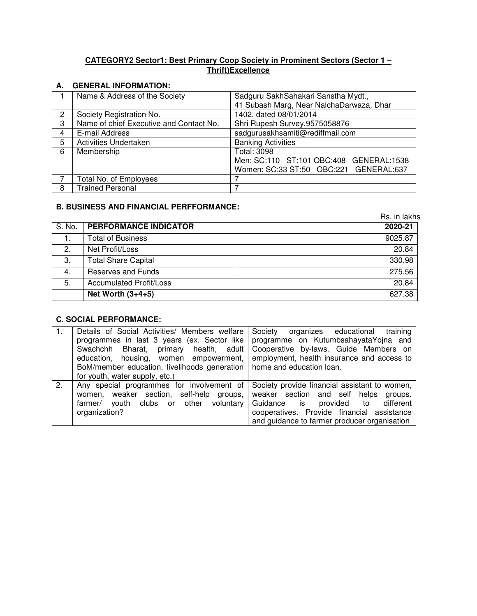# **CATEGORY2 Sector1: Best Primary Coop Society in Prominent Sectors (Sector 1 – Thrift)Excellence**

### **A. GENERAL INFORMATION:**

|   | Name & Address of the Society           | Sadguru SakhSahakari Sanstha Mydt.,      |
|---|-----------------------------------------|------------------------------------------|
|   |                                         | 41 Subash Marg, Near NalchaDarwaza, Dhar |
| 2 | Society Registration No.                | 1402, dated 08/01/2014                   |
| 3 | Name of chief Executive and Contact No. | Shri Rupesh Survey, 9575058876           |
| 4 | E-mail Address                          | sadgurusakhsamiti@rediffmail.com         |
| 5 | <b>Activities Undertaken</b>            | <b>Banking Activities</b>                |
| 6 | Membership                              | <b>Total: 3098</b>                       |
|   |                                         | Men: SC:110 ST:101 OBC:408 GENERAL:1538  |
|   |                                         | Women: SC:33 ST:50 OBC:221 GENERAL:637   |
|   | Total No. of Employees                  |                                          |
| 8 | <b>Trained Personal</b>                 |                                          |

# **B. BUSINESS AND FINANCIAL PERFFORMANCE:**

|        |                                | Rs. in lakhs |  |
|--------|--------------------------------|--------------|--|
| S. No. | <b>PERFORMANCE INDICATOR</b>   | 2020-21      |  |
|        | <b>Total of Business</b>       | 9025.87      |  |
| 2.     | Net Profit/Loss                | 20.84        |  |
| З.     | <b>Total Share Capital</b>     | 330.98       |  |
| 4.     | <b>Reserves and Funds</b>      | 275.56       |  |
| 5.     | <b>Accumulated Profit/Loss</b> | 20.84        |  |
|        | Net Worth $(3+4+5)$            | 627.38       |  |
|        |                                |              |  |

|    | Details of Social Activities/ Members welfare Society<br>programmes in last 3 years (ex. Sector like<br>Bharat, primary health, adult<br>Swachchh<br>education, housing, women empowerment,<br>BoM/member education, livelihoods generation   home and education loan. | training<br>organizes educational<br>programme on KutumbsahayataYojna and<br>Cooperative by-laws. Guide Members on<br>employment, health insurance and access to                                                                   |
|----|------------------------------------------------------------------------------------------------------------------------------------------------------------------------------------------------------------------------------------------------------------------------|------------------------------------------------------------------------------------------------------------------------------------------------------------------------------------------------------------------------------------|
| 2. | for youth, water supply, etc.)<br>Any special programmes for involvement of<br>self-help groups,<br>weaker section,<br>women.<br>clubs or other<br>voluntary<br>farmer/<br>vouth<br>organization?                                                                      | Society provide financial assistant to women,<br>weaker section and self helps<br>groups.<br>Guidance is provided<br>different<br>to<br>cooperatives. Provide financial assistance<br>and guidance to farmer producer organisation |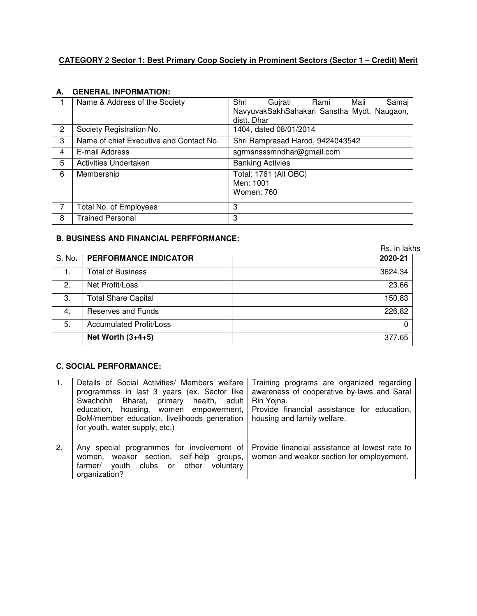# **CATEGORY 2 Sector 1: Best Primary Coop Society in Prominent Sectors (Sector 1 – Credit) Merit**

#### **A. GENERAL INFORMATION:**

|   | Name & Address of the Society           | Shri<br>Gujrati<br>Samaj<br>Rami<br>Mali<br>NavyuvakSakhSahakari Sanstha Mydt. Naugaon,<br>distt. Dhar |
|---|-----------------------------------------|--------------------------------------------------------------------------------------------------------|
| 2 | Society Registration No.                | 1404, dated 08/01/2014                                                                                 |
| 3 | Name of chief Executive and Contact No. | Shri Ramprasad Harod, 9424043542                                                                       |
| 4 | E-mail Address                          | sgrmsnsssmndhar@gmail.com                                                                              |
| 5 | Activities Undertaken                   | <b>Banking Activies</b>                                                                                |
| 6 | Membership                              | Total: 1761 (All OBC)<br>Men: 1001<br>Women: 760                                                       |
|   | Total No. of Employees                  | 3                                                                                                      |
| 8 | <b>Trained Personal</b>                 | 3                                                                                                      |

# **B. BUSINESS AND FINANCIAL PERFFORMANCE:**

|        |                                | Rs. in lakhs |
|--------|--------------------------------|--------------|
| S. No. | <b>PERFORMANCE INDICATOR</b>   | 2020-21      |
|        | <b>Total of Business</b>       | 3624.34      |
| 2.     | Net Profit/Loss                | 23.66        |
| 3.     | <b>Total Share Capital</b>     | 150.83       |
| 4.     | <b>Reserves and Funds</b>      | 226.82       |
| 5.     | <b>Accumulated Profit/Loss</b> | 0            |
|        | Net Worth $(3+4+5)$            | 377.65       |

|    | Details of Social Activities/ Members welfare<br>programmes in last 3 years (ex. Sector like<br>Swachchh Bharat, primary health, adult<br>education, housing, women empowerment,<br>BoM/member education, livelihoods generation<br>for youth, water supply, etc.) | Training programs are organized regarding<br>awareness of cooperative by-laws and Saral<br>Rin Yojna.<br>Provide financial assistance for education,<br>housing and family welfare. |
|----|--------------------------------------------------------------------------------------------------------------------------------------------------------------------------------------------------------------------------------------------------------------------|-------------------------------------------------------------------------------------------------------------------------------------------------------------------------------------|
| 2. | Any special programmes for involvement of<br>weaker section, self-help groups,<br>women.<br>clubs or other<br>voluntary<br>farmer/<br>vouth<br>organization?                                                                                                       | Provide financial assistance at lowest rate to<br>women and weaker section for employement.                                                                                         |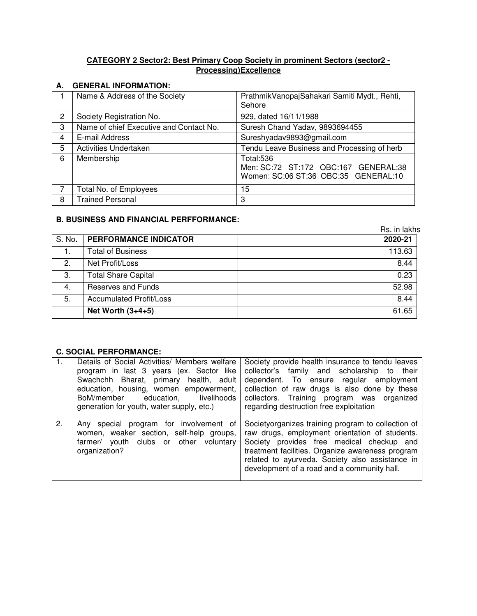### **CATEGORY 2 Sector2: Best Primary Coop Society in prominent Sectors (sector2 - Processing)Excellence**

### **A. GENERAL INFORMATION:**

|   | Name & Address of the Society           | PrathmikVanopajSahakari Samiti Mydt., Rehti,<br>Sehore                                    |
|---|-----------------------------------------|-------------------------------------------------------------------------------------------|
| 2 | Society Registration No.                | 929, dated 16/11/1988                                                                     |
| 3 | Name of chief Executive and Contact No. | Suresh Chand Yadav, 9893694455                                                            |
| 4 | E-mail Address                          | Sureshyadav9893@gmail.com                                                                 |
| 5 | Activities Undertaken                   | Tendu Leave Business and Processing of herb                                               |
| 6 | Membership                              | Total:536<br>Men: SC:72 ST:172 OBC:167 GENERAL:38<br>Women: SC:06 ST:36 OBC:35 GENERAL:10 |
|   | <b>Total No. of Employees</b>           | 15                                                                                        |
| 8 | <b>Trained Personal</b>                 | 3                                                                                         |

# **B. BUSINESS AND FINANCIAL PERFFORMANCE:**

|        |                                | Rs. in lakhs |
|--------|--------------------------------|--------------|
| S. No. | <b>PERFORMANCE INDICATOR</b>   | 2020-21      |
|        | <b>Total of Business</b>       | 113.63       |
| 2.     | Net Profit/Loss                | 8.44         |
| 3.     | <b>Total Share Capital</b>     | 0.23         |
| 4.     | <b>Reserves and Funds</b>      | 52.98        |
| 5.     | <b>Accumulated Profit/Loss</b> | 8.44         |
|        | Net Worth $(3+4+5)$            | 61.65        |

| $\mathbf{1}$ . | Details of Social Activities/ Members welfare<br>program in last 3 years (ex. Sector like<br>Swachchh Bharat, primary health, adult<br>education, housing, women empowerment,<br>BoM/member education,<br>livelihoods<br>generation for youth, water supply, etc.) | Society provide health insurance to tendu leaves<br>family and scholarship to<br>collector's<br>their<br>dependent. To ensure regular employment<br>collection of raw drugs is also done by these<br>collectors. Training program was organized<br>regarding destruction free exploitation              |
|----------------|--------------------------------------------------------------------------------------------------------------------------------------------------------------------------------------------------------------------------------------------------------------------|---------------------------------------------------------------------------------------------------------------------------------------------------------------------------------------------------------------------------------------------------------------------------------------------------------|
| 2.             | Any special<br>program for involvement of<br>women, weaker section, self-help groups,<br>farmer/ youth clubs or other voluntary<br>organization?                                                                                                                   | Societyorganizes training program to collection of<br>raw drugs, employment orientation of students.<br>Society provides free medical checkup and<br>treatment facilities. Organize awareness program<br>related to ayurveda. Society also assistance in<br>development of a road and a community hall. |